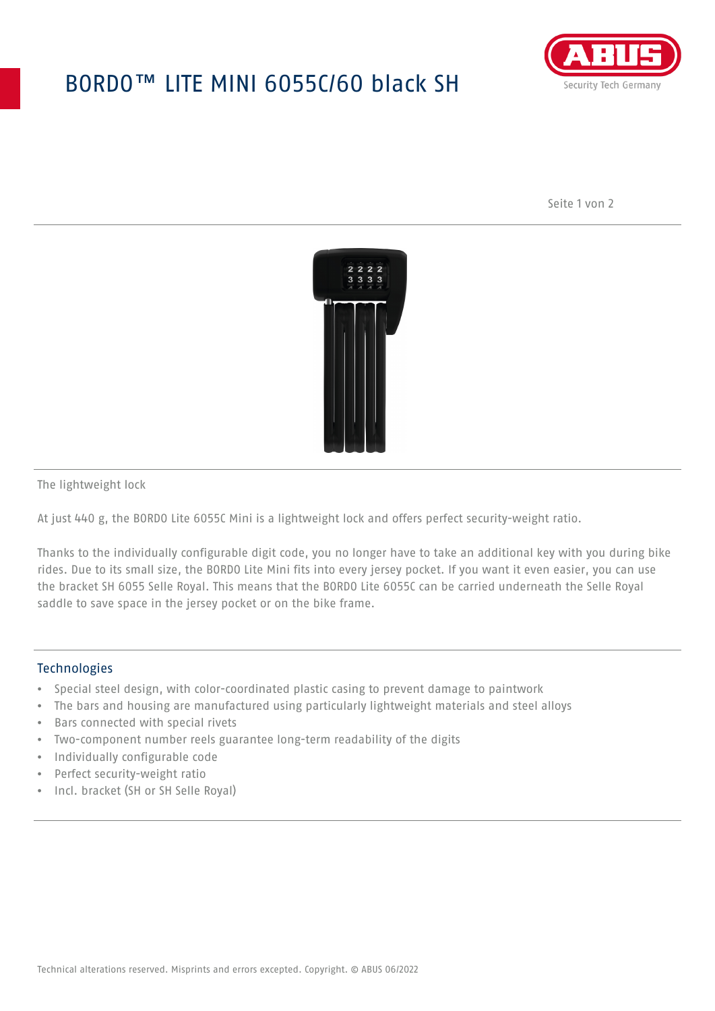## BORDO™ LITE MINI 6055C/60 black SH



Seite 1 von 2



The lightweight lock

At just 440 g, the BORDO Lite 6055C Mini is a lightweight lock and offers perfect security-weight ratio.

Thanks to the individually configurable digit code, you no longer have to take an additional key with you during bike rides. Due to its small size, the BORDO Lite Mini fits into every jersey pocket. If you want it even easier, you can use the bracket SH 6055 Selle Royal. This means that the BORDO Lite 6055C can be carried underneath the Selle Royal saddle to save space in the jersey pocket or on the bike frame.

## **Technologies**

- Special steel design, with color-coordinated plastic casing to prevent damage to paintwork
- The bars and housing are manufactured using particularly lightweight materials and steel alloys
- Bars connected with special rivets
- Two-component number reels guarantee long-term readability of the digits
- Individually configurable code
- Perfect security-weight ratio
- Incl. bracket (SH or SH Selle Royal)